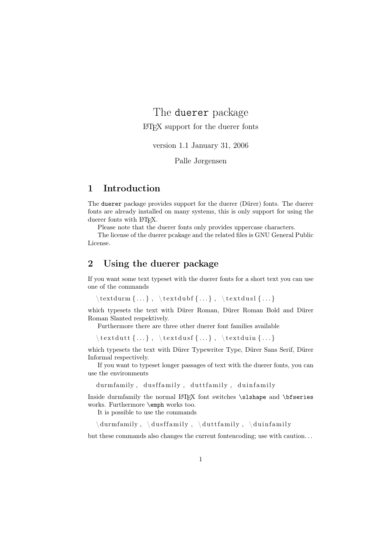# The duerer package LATEX support for the duerer fonts

version 1.1 January 31, 2006

Palle Jørgensen

### 1 Introduction

The duerer package provides support for the duerer (Dürer) fonts. The duerer fonts are already installed on many systems, this is only support for using the duerer fonts with LAT<sub>EX</sub>.

Please note that the duerer fonts only provides uppercase characters.

The license of the duerer pcakage and the related files is GNU General Public License.

### 2 Using the duerer package

If you want some text typeset with the duerer fonts for a short text you can use one of the commands

```
\text{tdurm} \{ \dots \}, \text{tdubf} \{ \dots \}, \text{tdusl} \{ \dots \}
```
which typesets the text with Dürer Roman, Dürer Roman Bold and Dürer Roman Slanted respektively.

Furthermore there are three other duerer font families available

 $\text{dutt} \{... \}$ ,  $\text{dust} \{... \}$ ,  $\text{dust} \{... \}$ 

which typesets the text with Dürer Typewriter Type, Dürer Sans Serif, Dürer Informal respectively.

If you want to typeset longer passages of text with the duerer fonts, you can use the environments

durm family, dusffamily, duttfamily, duinfamily

Inside durmfamily the normal LATEX font switches \slshape and \bfseries works. Furthermore \emph works too.

It is possible to use the commands

 $\dim i$  ,  $\d{u}$  and  $\dim i$  ,  $\d{u}$  and  $\dim i$  y ,  $\dim i$  with  $\dim i$  y

but these commands also changes the current fontencoding; use with caution. . .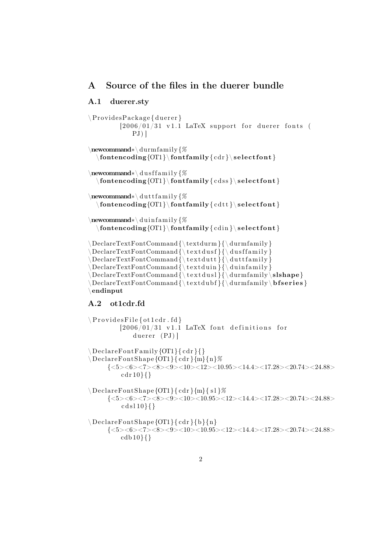## A Source of the files in the duerer bundle

#### A.1 duerer.sty

```
\P Provides Package { duerer }
        [2006/01/31 \t v1.1 \tLaTeX support for duerer fontsPJ) ]
\newcommand∗\ durm family {%
  \{contencoding \\{or1\} \fontfamily{ cdr } \ s e le ctfont \}\newcommand∗\ d u s f f amil y {%
  \fontencoding{OT1}\ fontfam ily{ c d s s }\ s e l e ct font }
\newcommand∗\ d u t t f amil y {%
  \otimes \{OT1\} \forall f \in \mathbb{R}\newcommand∗\ d ui n f amil y {%
  \forall fontencoding {OT1} \fontfamily { cdin } \select font }
\Delta {\text{curl}} {\ \dquad \}\Delta \text{DeclarerTextFontCommand} \setminus \text{textdusf}{} \setminus \text{dusffamily}{}\Delta {\text{l t t}} \\Delta {\text{cut}} {\ \text{cut}}\Delta {\rm C}\Delta {\text{cut}} {\ {\text{curl}} \}\endinput
```
#### A.2 ot1cdr.fd

```
\P Provides File { ot 1 cdr. fd }
            [2006/01/31 \text{ v}1.1 \text{ LaTeX} font definitions for
                  duerer (PJ)]
\Delta DeclareFontFamily {OT1}{ cdr }{}
\setminus DeclareFontShape {OT1}{ cdr } {m} {n}%
        \{<\!\!5\!\!><\!\!6\!\!><\!\!7\!\!><\!\!8\!\!><\!\!9\!\!><\!\!10\!\!><\!\!12\!\!><\!\!10.95\!\!><\!\!14.4\!\!><\!\!17.28\!\!><\!\!20.74\!\!><\!\!24.88\!\!>cdf 10}{}
\Delta DeclareFontShape {OT1}{ cdr } {m}{ s l } %
       {<} 5 &gt; 6 &gt; 7 &gt; 8 &gt; 9 &gt; 10 &gt; 10.95 &gt; 12 &gt; 14.4 &gt; 17.28 &gt; 20.74 &gt; 24.88 &gt;cdsl10\}{}
\D{Be}clareFontShape {OT1}{cdr}{b}{n}
       {<} 5 > <6 > <7 > <8 > <9 > <10 > <10.95 > <12 > <14.4 > <17.28 > <20.74 > <24.88 >\cosh 10}{}
```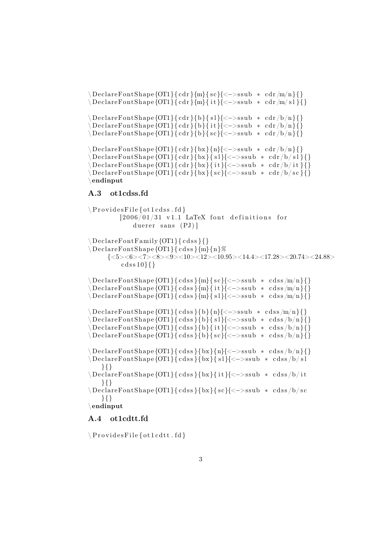$\Delta\text{DeclareFontShape}\{OT1\} \{ \text{cdr } \{m\} \{ \text{sc} \} \} \} \} \$ \ DeclareFontShape {OT1}{ cdr } {m}{ i t }{<−>ssub ∗ cdr /m/ s l } {} \DeclareFontShape {OT1}{ cdr } {b}{ s l }{<->ssub \* cdr /b/n } {}  $\Delta$  DeclareFontShape {OT1}{ cdr }{b}{ it }{<->ssub \* cdr /b/n}{}  $\Delta$  DeclareFontShape {OT1}{ cdr }{b}{ sc}{<->ssub \* cdr /b/n}{}  $\Delta$  DeclareFontShape {OT1}{cdr}{bx}{n}{<->ssub \* cdr/b/n}{}  $\Delta$  DeclareFontShape {OT1}{ cdr }{bx}{ s l }{<->ssub  $*$  cdr /b/ s l }{}  $\Delta \left( \text{DeclarefontShape} \{ OTI \} \{ cdr \} \{ bx \} \{ it \} \{ <->ssub * cdr/b/it \} \}$  $\Delta$  DeclareFontShape {OT1}{ cdr }{bx}{ sc}{<->ssub \* cdr /b/ sc}{} \endinput

#### A.3 ot1cdss.fd

```
\P Provides File { ot 1 c d s s . fd }
           [2006/01/31 \t v1.1 LaTeX font definitions for
               duerer sans (PJ)]
\ DechareFontFamily \{OT1\} \{ cds s \} \\D{Be}clareFontShape {OT1}{ cdss }{m}{n}%
      \{<\!5\!><\!6\!><\!7\!><\!8\!><\!9\!><\!10\!><\!12\!><\!10.95\!><\!14.4\!><\!17.28\!><\!20.74\!><\!24.88\!>cdss10\}}
\ DeclareFontShape {OT1}{ c d s s }{m}{ s c}{<−>s sub ∗ c d s s /m/n}{}
\setminus \text{DeclarefontShape}\{\text{OT1}\} \set{cdss}\{\text{m}\} \set{i} \} \{<\!\!-\!\!>ssub \;*\; \text{cdss}\/\text{m}\{\}\}\D{Be} \begin{Bmatrix} 0T1 \end{Bmatrix} cdss {m}{s} { s l {{<->ssub * cdss {m}{n} { {}
\ DeclareFontShape {OT1}{ c d s s }{b}{n}{<−>s sub ∗ c d s s /m/n}{}
\Delta DeclareFontShape {OT1}{ cdss }{b}{ s1}{ <->ssub * cdss /b/n}{}
\Delta DeclareFontShape {OT1}{ cdss }{b}{ it }{<->ssub * cdss /b/n}{}
\Delta DeclareFontShape {OT1}{ cdss }{b}{ sc}{<->ssub * cdss /b/n}{}
\ DeclareFontShape {OT1}{ c d s s }{bx }{n}{<−>s sub ∗ c d s s /b/n}{}
\Delta \text{DeclarefontShape}{OT1}{ cdss }{bx}{ s l }{<->ssub * cdss /b/ s l
    }{}
\ DeclareFontShape {OT1}{ c d s s }{bx }{ i t }{<−>s sub ∗ c d s s /b/ i t
    }{}
\Delta \text{DeclarefontShape}{OT1}{cdss}{bx}{sc}{<->ssub * cdss/b/sc
    }{}
\endinput
```
### A.4 ot1cdtt.fd

 $\P$  Provides File { ot 1 cdtt . fd }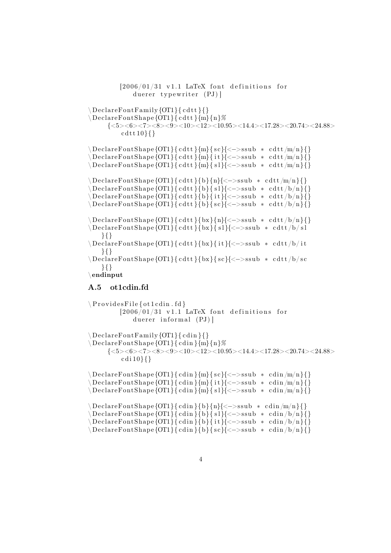$[2006/01/31 \text{ v}1.1 \text{ LaTeX}$  font definitions for duerer typewriter (PJ)]  $\Delta$  DeclareFontFamily {OT1}{ cdtt }{}  $\D{Be} \cdot \D{C}$   ${\rm Stab}$   ${\rm Sp}^{2}$  $\{<\!5\!><\!6\!><\!7\!><\!8\!><\!9\!><\!10\!><\!12\!><\!10.95\!><\!14.4\!><\!17.28\!><\!20.74\!><\!24.88\!>$  $cd$  t t  $10$ } $\}$  $\Delta$  DeclareFontShape {OT1}{ cdtt }{m}{ sc}{<->ssub \* cdtt /m/n}{}  $\Delta$  DeclareFontShape {OT1}{ cdtt }{m}{ it }{<->ssub \* cdtt/m/n}{}  $\Delta$  DeclareFontShape {OT1}{ cdtt }{m}{ s1}{<->ssub \* cdtt/m/n}{} \ DeclareFontShape {OT1}{ c d t t }{b}{n}{<−>s sub ∗ c d t t /m/n}{}  $\Delta\ \Delta \$  $\Delta\text{DeclareFontShape}\{OT1\} \{ c d t t \} \{b\} \{i t \} \{<->ssub * c d t t/b/n \} \}$  $\Delta\text{DeclareFontShape}$ {OT1}{ cdtt }{b}{ sc}{<->ssub \* cdtt/b/n}{}  $\Delta$  DeclareFontShape {OT1}{ cdtt }{bx}{n}{<->ssub \* cdtt/b/n}{}  $\Delta$  DeclareFontShape {OT1}{ cdtt }{bx}{ s l }{<->ssub \* cdtt /b/ s l }{} \ DeclareFontShape {OT1}{ c d t t }{bx }{ i t }{<−>s sub ∗ c d t t /b/ i t }{} \ DeclareFontShape {OT1}{ c d t t }{bx }{ s c}{<−>s sub ∗ c d t t /b/ s c }{} \endinput A.5 ot1cdin.fd

 $\P$  Provides File { ot 1 cdin . fd }  $[2006/01/31 \text{ v}1.1 \text{ LaTeX}$  font definitions for duerer informal  $(PJ)$ ]  $\Delta$  DeclareFontFamily {OT1}{ cdin }{}  $\D{Be}$ clareFontShape {OT1}{ cdin }{m}{n}%  ${<} 5 > <6 > <7 > <8 > <10 > <10 > <12 > <10.95 > <14.4 > <17.28 > <20.74 > <24.88 >$  $cdi 10$ }{}  $\Delta\text{DeclarerFontShape}\{OT1\}$  { cdin } {m} { sc}{ <->ssub \* cdin /m/n} {}  $\setminus$ DeclareFontShape {OT1}{ cdin }{m}{ it}{<->ssub \* cdin /m/n}{}  $\Delta\text{DeclarerFontShape}$ {OT1}{ cdin }{m}{ s1}{<->ssub \* cdin /m/n}{}  $\Delta$  DeclareFontShape {OT1}{ cdin }{b}{n}{<->ssub \* cdin /m/n}{}  $\setminus \mathrm{DeclarefontShape}$  {OT1}{ cdin }{b}{ sl}{<->ssub  $*$  cdin  $\setminus$ b/n}{}  $\Delta$  DeclareFontShape {OT1}{ cdin }{b}{ it }{<->ssub \* cdin  $/b/n$ }{} \ DeclareFontShape {OT1}{ c di n }{b}{ s c}{<−>s sub ∗ c di n /b/n}{}